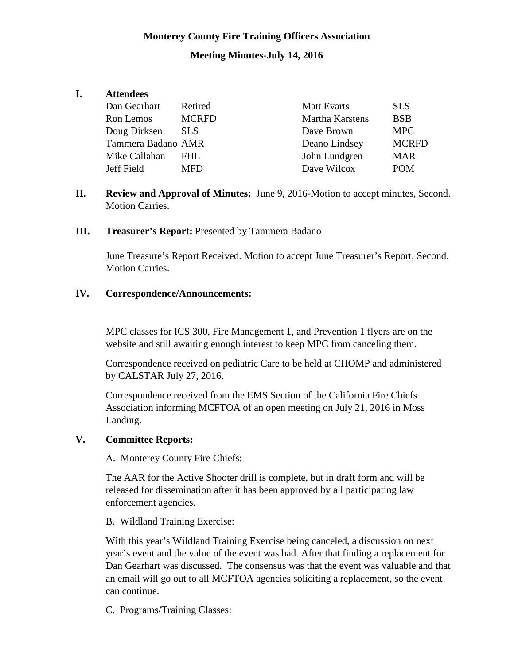# **Monterey County Fire Training Officers Association Meeting Minutes-July 14, 2016**

#### **I. Attendees**

| Dan Gearhart       | Retired      | <b>Matt Evarts</b>     | SLS.         |
|--------------------|--------------|------------------------|--------------|
| Ron Lemos          | <b>MCRFD</b> | <b>Martha Karstens</b> | <b>BSB</b>   |
| Doug Dirksen       | <b>SLS</b>   | Dave Brown             | <b>MPC</b>   |
| Tammera Badano AMR |              | Deano Lindsey          | <b>MCRFD</b> |
| Mike Callahan      | FHL.         | John Lundgren          | <b>MAR</b>   |
| Jeff Field         | <b>MFD</b>   | Dave Wilcox            | <b>POM</b>   |

**II. Review and Approval of Minutes:** June 9, 2016-Motion to accept minutes, Second. Motion Carries.

#### **III. Treasurer's Report:** Presented by Tammera Badano

June Treasure's Report Received. Motion to accept June Treasurer's Report, Second. Motion Carries.

#### **IV. Correspondence/Announcements:**

MPC classes for ICS 300, Fire Management 1, and Prevention 1 flyers are on the website and still awaiting enough interest to keep MPC from canceling them.

Correspondence received on pediatric Care to be held at CHOMP and administered by CALSTAR July 27, 2016.

Correspondence received from the EMS Section of the California Fire Chiefs Association informing MCFTOA of an open meeting on July 21, 2016 in Moss Landing.

#### **V. Committee Reports:**

A. Monterey County Fire Chiefs:

The AAR for the Active Shooter drill is complete, but in draft form and will be released for dissemination after it has been approved by all participating law enforcement agencies.

B. Wildland Training Exercise:

With this year's Wildland Training Exercise being canceled, a discussion on next year's event and the value of the event was had. After that finding a replacement for Dan Gearhart was discussed. The consensus was that the event was valuable and that an email will go out to all MCFTOA agencies soliciting a replacement, so the event can continue.

C. Programs/Training Classes: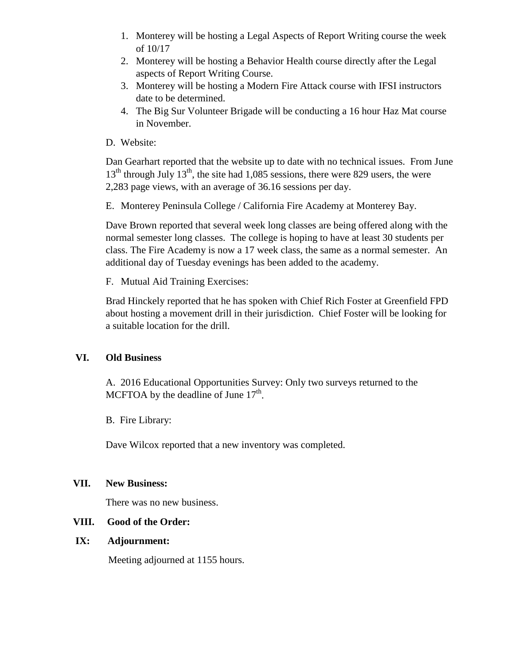- 1. Monterey will be hosting a Legal Aspects of Report Writing course the week of 10/17
- 2. Monterey will be hosting a Behavior Health course directly after the Legal aspects of Report Writing Course.
- 3. Monterey will be hosting a Modern Fire Attack course with IFSI instructors date to be determined.
- 4. The Big Sur Volunteer Brigade will be conducting a 16 hour Haz Mat course in November.
- D. Website:

Dan Gearhart reported that the website up to date with no technical issues. From June  $13<sup>th</sup>$  through July  $13<sup>th</sup>$ , the site had 1,085 sessions, there were 829 users, the were 2,283 page views, with an average of 36.16 sessions per day.

E. Monterey Peninsula College / California Fire Academy at Monterey Bay.

Dave Brown reported that several week long classes are being offered along with the normal semester long classes. The college is hoping to have at least 30 students per class. The Fire Academy is now a 17 week class, the same as a normal semester. An additional day of Tuesday evenings has been added to the academy.

F. Mutual Aid Training Exercises:

Brad Hinckely reported that he has spoken with Chief Rich Foster at Greenfield FPD about hosting a movement drill in their jurisdiction. Chief Foster will be looking for a suitable location for the drill.

## **VI. Old Business**

A. 2016 Educational Opportunities Survey: Only two surveys returned to the MCFTOA by the deadline of June  $17<sup>th</sup>$ .

B. Fire Library:

Dave Wilcox reported that a new inventory was completed.

#### **VII. New Business:**

There was no new business.

#### **VIII. Good of the Order:**

#### **IX: Adjournment:**

Meeting adjourned at 1155 hours.